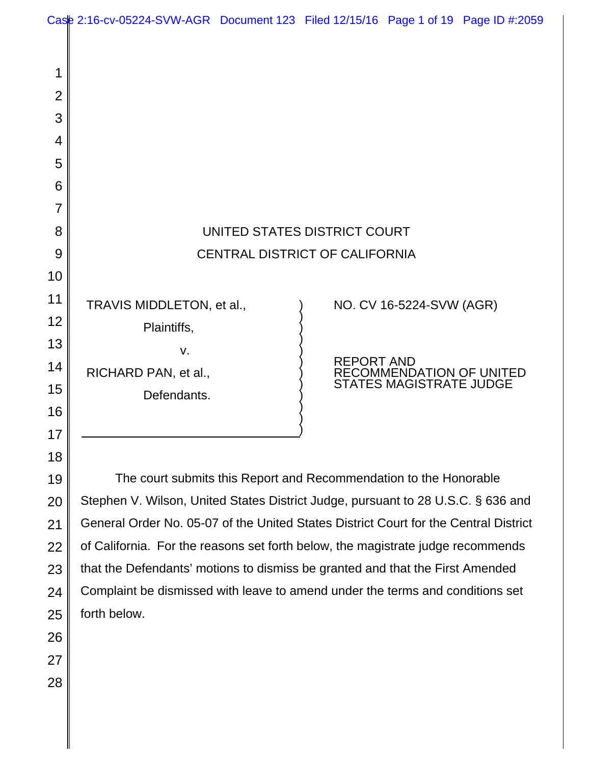1 2 3 4 5 6 7 8 9 10 11 12 13 14 15 16 17 18 UNITED STATES DISTRICT COURT CENTRAL DISTRICT OF CALIFORNIA TRAVIS MIDDLETON, et al., Plaintiffs, v. RICHARD PAN, et al., Defendants. ) ) ) ) ) ) ) ) ) ) ) ) NO. CV 16-5224-SVW (AGR) REPORT AND RECOMMENDATION OF UNITED STATES MAGISTRATE JUDGE Case 2:16-cv-05224-SVW-AGR Document 123 Filed 12/15/16 Page 1 of 19 Page ID #:2059

The court submits this Report and Recommendation to the Honorable Stephen V. Wilson, United States District Judge, pursuant to 28 U.S.C. § 636 and General Order No. 05-07 of the United States District Court for the Central District of California. For the reasons set forth below, the magistrate judge recommends that the Defendants' motions to dismiss be granted and that the First Amended Complaint be dismissed with leave to amend under the terms and conditions set forth below.

19

20

21

22

23

24

25

26

27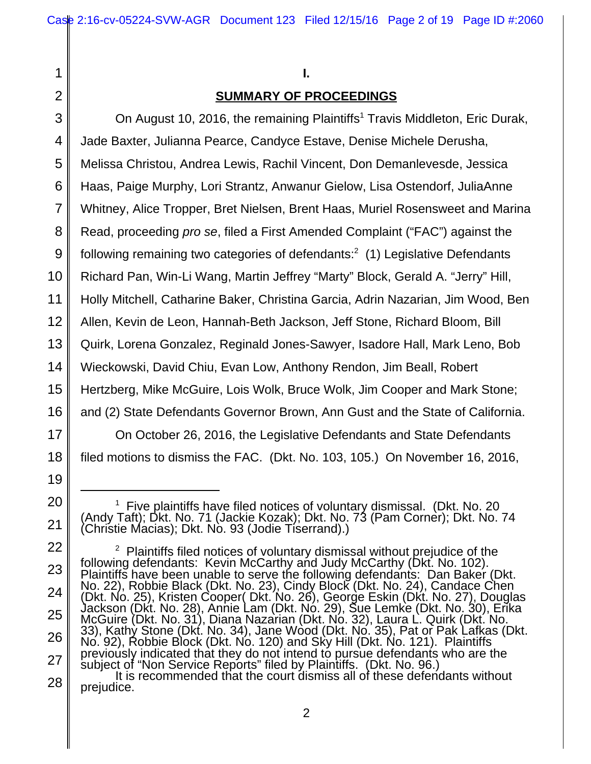17

18

19

20

21

22

23

24

25

26

27

1

# **SUMMARY OF PROCEEDINGS**

4 5 6 7 8 9 10 11 12 13 14 15 16 On August 10, 2016, the remaining Plaintiffs<sup>1</sup> Travis Middleton, Eric Durak, Jade Baxter, Julianna Pearce, Candyce Estave, Denise Michele Derusha, Melissa Christou, Andrea Lewis, Rachil Vincent, Don Demanlevesde, Jessica Haas, Paige Murphy, Lori Strantz, Anwanur Gielow, Lisa Ostendorf, JuliaAnne Whitney, Alice Tropper, Bret Nielsen, Brent Haas, Muriel Rosensweet and Marina Read, proceeding *pro se*, filed a First Amended Complaint ("FAC") against the following remaining two categories of defendants: $2$  (1) Legislative Defendants Richard Pan, Win-Li Wang, Martin Jeffrey "Marty" Block, Gerald A. "Jerry" Hill, Holly Mitchell, Catharine Baker, Christina Garcia, Adrin Nazarian, Jim Wood, Ben Allen, Kevin de Leon, Hannah-Beth Jackson, Jeff Stone, Richard Bloom, Bill Quirk, Lorena Gonzalez, Reginald Jones-Sawyer, Isadore Hall, Mark Leno, Bob Wieckowski, David Chiu, Evan Low, Anthony Rendon, Jim Beall, Robert Hertzberg, Mike McGuire, Lois Wolk, Bruce Wolk, Jim Cooper and Mark Stone; and (2) State Defendants Governor Brown, Ann Gust and the State of California.

On October 26, 2016, the Legislative Defendants and State Defendants filed motions to dismiss the FAC. (Dkt. No. 103, 105.) On November 16, 2016,

<sup>&</sup>lt;sup>1</sup> Five plaintiffs have filed notices of voluntary dismissal. (Dkt. No. 20 (Andy Taft); Dkt. No. 71 (Jackie Kozak); Dkt. No. 73 (Pam Corner); Dkt. No. 74 (Christie Macias); Dkt. No. 93 (Jodie Tiserrand).)

<sup>&</sup>lt;sup>2</sup> Plaintiffs filed notices of voluntary dismissal without prejudice of the<br>following defendants: Kevin McCarthy and Judy McCarthy (Dkt. No. 102). Plaintiffs have been unable to serve the following defendants: Dan Baker (Dkt. No. 22), Robbie Black (Dkt. No. 23), Cindy Block (Dkt. No. 24), Candace Chen (Dkt. No. 25), Kristen Cooper( Dkt. No. 26), George Eskin (Dkt. No. 27), Douglas Jackson (Dkt. No. 28), Annie Lam (Dkt. No. 29), Sue Lemke (Dkt. No. 30), Erika McGuire (Dkt. No. 31), Diana Nazarian (Dkt. No. 32), Laura L. Quirk (Dkt. No. 33), Kathy Stone (Dkt. No. 34), Jane Wood (Dkt. No. 35), Pat or Pak Lafkas (Dkt. No. 92), Robbie Block (Dkt. No. 120) and Sky Hill (Dkt. No. 121). Plaintiffs previously indicated that they do not intend to pursue defendants who are the subject of "Non Service Reports" filed by Plaintiffs. (Dkt. No. 96.)

<sup>28</sup> It is recommended that the court dismiss all of these defendants without prejudice.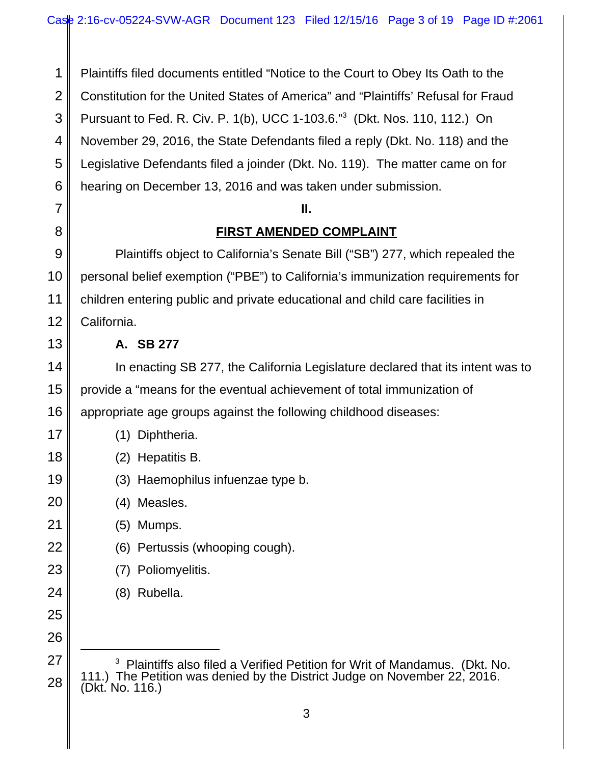1 2 3 4 5 6 Plaintiffs filed documents entitled "Notice to the Court to Obey Its Oath to the Constitution for the United States of America" and "Plaintiffs' Refusal for Fraud Pursuant to Fed. R. Civ. P. 1(b), UCC 1-103.6."3 (Dkt. Nos. 110, 112.) On November 29, 2016, the State Defendants filed a reply (Dkt. No. 118) and the Legislative Defendants filed a joinder (Dkt. No. 119). The matter came on for hearing on December 13, 2016 and was taken under submission.

### **II.**

# **FIRST AMENDED COMPLAINT**

9 10 11 12 Plaintiffs object to California's Senate Bill ("SB") 277, which repealed the personal belief exemption ("PBE") to California's immunization requirements for children entering public and private educational and child care facilities in California.

## **A. SB 277**

7

8

13

17

18

19

20

21

22

23

24

25

26

14 15 16 In enacting SB 277, the California Legislature declared that its intent was to provide a "means for the eventual achievement of total immunization of appropriate age groups against the following childhood diseases:

| (1) Diphtheria.                   |
|-----------------------------------|
| (2) Hepatitis B.                  |
| (3) Haemophilus infuenzae type b. |

- (4) Measles.
	- (5) Mumps.
- (6) Pertussis (whooping cough).
- (7) Poliomyelitis.
	- (8) Rubella.

27 28 <sup>3</sup> Plaintiffs also filed a Verified Petition for Writ of Mandamus. (Dkt. No. <sup>3</sup> Plaintiffs also filed a Verified Petition for Writ of Mandamus. (Dkt. No. 111.) The Petition was denied by the District Judge on November 22, 2016. (Dkt. No. 116.)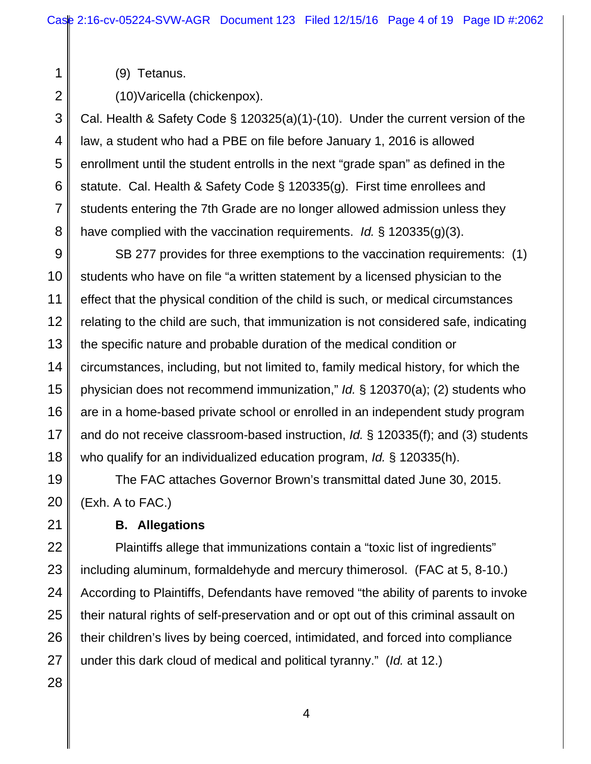(9) Tetanus.

1

2

8

(10)Varicella (chickenpox).

3 4 5 6 7 Cal. Health & Safety Code § 120325(a)(1)-(10). Under the current version of the law, a student who had a PBE on file before January 1, 2016 is allowed enrollment until the student entrolls in the next "grade span" as defined in the statute. Cal. Health & Safety Code § 120335(g). First time enrollees and students entering the 7th Grade are no longer allowed admission unless they have complied with the vaccination requirements. *Id.* § 120335(g)(3).

9 10 11 12 13 14 15 16 17 18 SB 277 provides for three exemptions to the vaccination requirements: (1) students who have on file "a written statement by a licensed physician to the effect that the physical condition of the child is such, or medical circumstances relating to the child are such, that immunization is not considered safe, indicating the specific nature and probable duration of the medical condition or circumstances, including, but not limited to, family medical history, for which the physician does not recommend immunization," *Id.* § 120370(a); (2) students who are in a home-based private school or enrolled in an independent study program and do not receive classroom-based instruction, *Id.* § 120335(f); and (3) students who qualify for an individualized education program, *Id.* § 120335(h).

19 20 The FAC attaches Governor Brown's transmittal dated June 30, 2015. (Exh. A to FAC.)

**B. Allegations**

Plaintiffs allege that immunizations contain a "toxic list of ingredients" including aluminum, formaldehyde and mercury thimerosol. (FAC at 5, 8-10.) According to Plaintiffs, Defendants have removed "the ability of parents to invoke their natural rights of self-preservation and or opt out of this criminal assault on their children's lives by being coerced, intimidated, and forced into compliance under this dark cloud of medical and political tyranny." (*Id.* at 12.)

21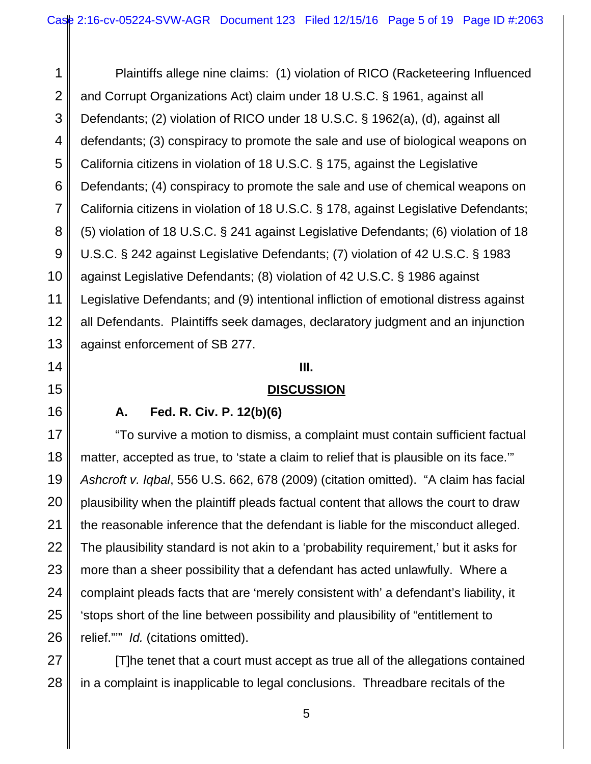1 2 3 4 5 6 7 8 9 10 11 12 13 Plaintiffs allege nine claims: (1) violation of RICO (Racketeering Influenced and Corrupt Organizations Act) claim under 18 U.S.C. § 1961, against all Defendants; (2) violation of RICO under 18 U.S.C. § 1962(a), (d), against all defendants; (3) conspiracy to promote the sale and use of biological weapons on California citizens in violation of 18 U.S.C. § 175, against the Legislative Defendants; (4) conspiracy to promote the sale and use of chemical weapons on California citizens in violation of 18 U.S.C. § 178, against Legislative Defendants; (5) violation of 18 U.S.C. § 241 against Legislative Defendants; (6) violation of 18 U.S.C. § 242 against Legislative Defendants; (7) violation of 42 U.S.C. § 1983 against Legislative Defendants; (8) violation of 42 U.S.C. § 1986 against Legislative Defendants; and (9) intentional infliction of emotional distress against all Defendants. Plaintiffs seek damages, declaratory judgment and an injunction against enforcement of SB 277.

### **III.**

### **DISCUSSION**

14

15

16

27

28

## **A. Fed. R. Civ. P. 12(b)(6)**

17 18 19 20 21 22 23 24 25 26 "To survive a motion to dismiss, a complaint must contain sufficient factual matter, accepted as true, to 'state a claim to relief that is plausible on its face." *Ashcroft v. Iqbal*, 556 U.S. 662, 678 (2009) (citation omitted). "A claim has facial plausibility when the plaintiff pleads factual content that allows the court to draw the reasonable inference that the defendant is liable for the misconduct alleged. The plausibility standard is not akin to a 'probability requirement,' but it asks for more than a sheer possibility that a defendant has acted unlawfully. Where a complaint pleads facts that are 'merely consistent with' a defendant's liability, it 'stops short of the line between possibility and plausibility of "entitlement to relief."'" *Id.* (citations omitted).

[T]he tenet that a court must accept as true all of the allegations contained in a complaint is inapplicable to legal conclusions. Threadbare recitals of the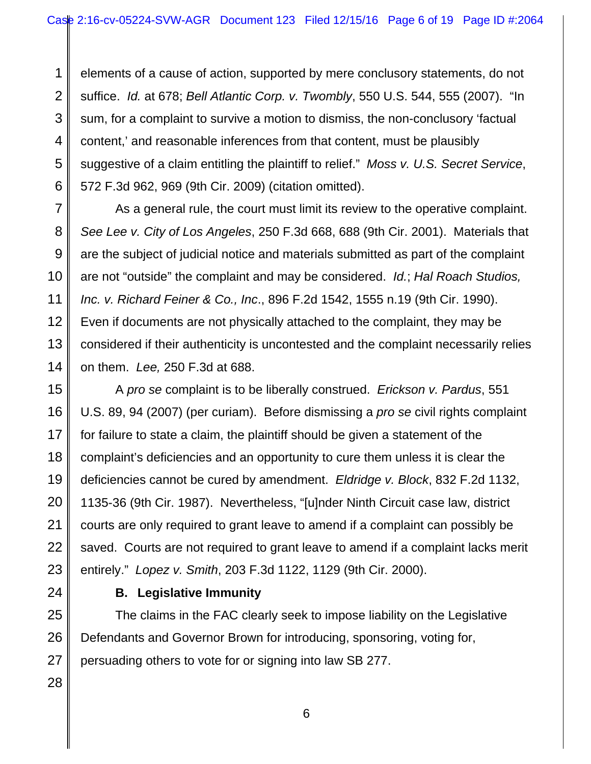1 2 3 4 5 6 elements of a cause of action, supported by mere conclusory statements, do not suffice. *Id.* at 678; *Bell Atlantic Corp. v. Twombly*, 550 U.S. 544, 555 (2007). "In sum, for a complaint to survive a motion to dismiss, the non-conclusory 'factual content,' and reasonable inferences from that content, must be plausibly suggestive of a claim entitling the plaintiff to relief." *Moss v. U.S. Secret Service*, 572 F.3d 962, 969 (9th Cir. 2009) (citation omitted).

As a general rule, the court must limit its review to the operative complaint. *See Lee v. City of Los Angeles*, 250 F.3d 668, 688 (9th Cir. 2001). Materials that are the subject of judicial notice and materials submitted as part of the complaint are not "outside" the complaint and may be considered. *Id.*; *Hal Roach Studios, Inc. v. Richard Feiner & Co., Inc*., 896 F.2d 1542, 1555 n.19 (9th Cir. 1990). Even if documents are not physically attached to the complaint, they may be considered if their authenticity is uncontested and the complaint necessarily relies on them. *Lee,* 250 F.3d at 688.

15 16 17 18 19 20 21 A *pro se* complaint is to be liberally construed. *Erickson v. Pardus*, 551 U.S. 89, 94 (2007) (per curiam). Before dismissing a *pro se* civil rights complaint for failure to state a claim, the plaintiff should be given a statement of the complaint's deficiencies and an opportunity to cure them unless it is clear the deficiencies cannot be cured by amendment. *Eldridge v. Block*, 832 F.2d 1132, 1135-36 (9th Cir. 1987). Nevertheless, "[u]nder Ninth Circuit case law, district courts are only required to grant leave to amend if a complaint can possibly be saved. Courts are not required to grant leave to amend if a complaint lacks merit entirely." *Lopez v. Smith*, 203 F.3d 1122, 1129 (9th Cir. 2000).

7

8

9

10

11

12

13

14

## **B. Legislative Immunity**

The claims in the FAC clearly seek to impose liability on the Legislative Defendants and Governor Brown for introducing, sponsoring, voting for, persuading others to vote for or signing into law SB 277.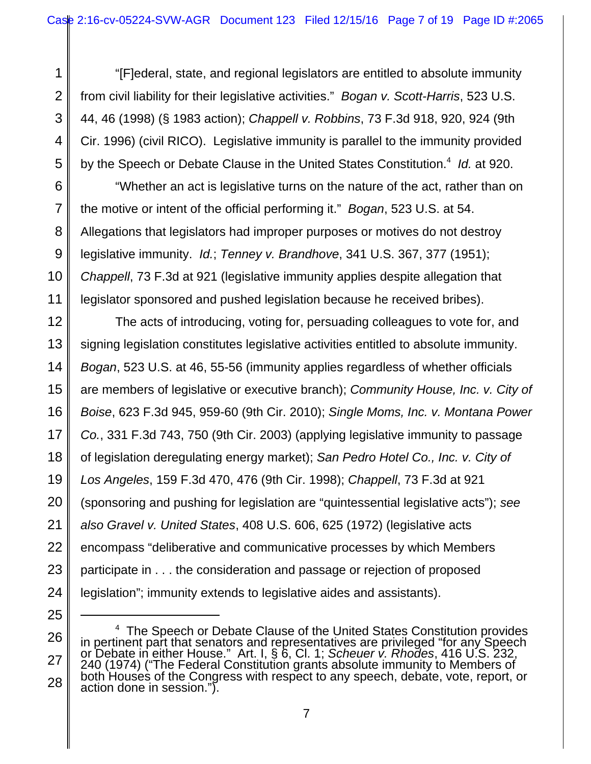"[F]ederal, state, and regional legislators are entitled to absolute immunity from civil liability for their legislative activities." *Bogan v. Scott-Harris*, 523 U.S. 44, 46 (1998) (§ 1983 action); *Chappell v. Robbins*, 73 F.3d 918, 920, 924 (9th Cir. 1996) (civil RICO). Legislative immunity is parallel to the immunity provided by the Speech or Debate Clause in the United States Constitution.<sup>4</sup> Id. at 920.

1

2

3

4

5

9

11

25

6 7 8 10 "Whether an act is legislative turns on the nature of the act, rather than on the motive or intent of the official performing it." *Bogan*, 523 U.S. at 54. Allegations that legislators had improper purposes or motives do not destroy legislative immunity. *Id.*; *Tenney v. Brandhove*, 341 U.S. 367, 377 (1951); *Chappell*, 73 F.3d at 921 (legislative immunity applies despite allegation that legislator sponsored and pushed legislation because he received bribes).

12 13 14 15 16 17 18 19 20 21 22 23 24 The acts of introducing, voting for, persuading colleagues to vote for, and signing legislation constitutes legislative activities entitled to absolute immunity. *Bogan*, 523 U.S. at 46, 55-56 (immunity applies regardless of whether officials are members of legislative or executive branch); *Community House, Inc. v. City of Boise*, 623 F.3d 945, 959-60 (9th Cir. 2010); *Single Moms, Inc. v. Montana Power Co.*, 331 F.3d 743, 750 (9th Cir. 2003) (applying legislative immunity to passage of legislation deregulating energy market); *San Pedro Hotel Co., Inc. v. City of Los Angeles*, 159 F.3d 470, 476 (9th Cir. 1998); *Chappell*, 73 F.3d at 921 (sponsoring and pushing for legislation are "quintessential legislative acts"); *see also Gravel v. United States*, 408 U.S. 606, 625 (1972) (legislative acts encompass "deliberative and communicative processes by which Members participate in . . . the consideration and passage or rejection of proposed legislation"; immunity extends to legislative aides and assistants).

<sup>26</sup> 27 28 <sup>4</sup> The Speech or Debate Clause of the United States Constitution provides <sup>4</sup> The Speech or Debate Clause of the United States Constitution provides<br>in pertinent part that senators and representatives are privileged "for any Speech or Debate in either House." Art. I, § 6, Cl. 1; *Scheuer v. Rhodes*, 416 U.S. 232, 240 (1974) ("The Federal Constitution grants absolute immunity to Members of both Houses of the Congress with respect to any speech, debate, vote, report, or action done in session.").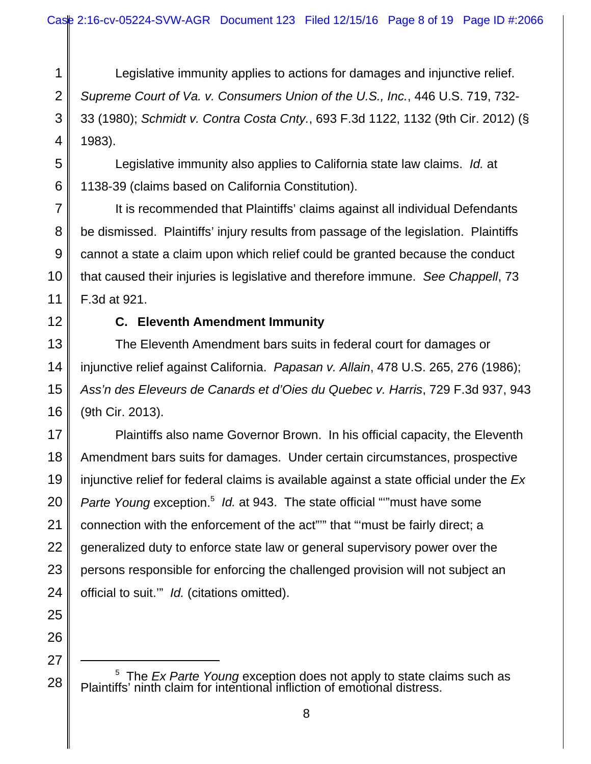1 2 3 4 Legislative immunity applies to actions for damages and injunctive relief. *Supreme Court of Va. v. Consumers Union of the U.S., Inc.*, 446 U.S. 719, 732- 33 (1980); *Schmidt v. Contra Costa Cnty.*, 693 F.3d 1122, 1132 (9th Cir. 2012) (§ 1983).

Legislative immunity also applies to California state law claims. *Id.* at 1138-39 (claims based on California Constitution).

It is recommended that Plaintiffs' claims against all individual Defendants be dismissed. Plaintiffs' injury results from passage of the legislation. Plaintiffs cannot a state a claim upon which relief could be granted because the conduct that caused their injuries is legislative and therefore immune. *See Chappell*, 73 F.3d at 921.

12

5

6

7

8

9

10

11

# **C. Eleventh Amendment Immunity**

13 14 15 16 The Eleventh Amendment bars suits in federal court for damages or injunctive relief against California. *Papasan v. Allain*, 478 U.S. 265, 276 (1986); *Ass'n des Eleveurs de Canards et d'Oies du Quebec v. Harris*, 729 F.3d 937, 943 (9th Cir. 2013).

17 18 19 20 21 22 23 24 Plaintiffs also name Governor Brown. In his official capacity, the Eleventh Amendment bars suits for damages. Under certain circumstances, prospective injunctive relief for federal claims is available against a state official under the *Ex* Parte Young exception.<sup>5</sup> Id. at 943. The state official ""must have some connection with the enforcement of the act"'" that "'must be fairly direct; a generalized duty to enforce state law or general supervisory power over the persons responsible for enforcing the challenged provision will not subject an official to suit.'" *Id.* (citations omitted).

25

<sup>27</sup> 28

<sup>&</sup>lt;sup>5</sup> The *Ex Parte Young* exception does not apply to state claims such as Plaintiffs' ninth claim for intentional infliction of emotional distress.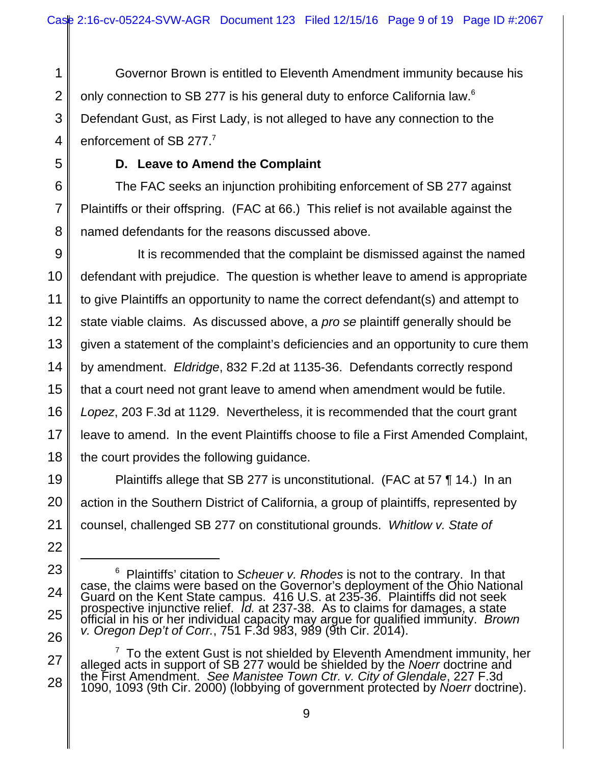Governor Brown is entitled to Eleventh Amendment immunity because his only connection to SB 277 is his general duty to enforce California law.<sup>6</sup> Defendant Gust, as First Lady, is not alleged to have any connection to the enforcement of SB 277.<sup>7</sup>

# **D. Leave to Amend the Complaint**

The FAC seeks an injunction prohibiting enforcement of SB 277 against Plaintiffs or their offspring. (FAC at 66.) This relief is not available against the named defendants for the reasons discussed above.

It is recommended that the complaint be dismissed against the named defendant with prejudice. The question is whether leave to amend is appropriate to give Plaintiffs an opportunity to name the correct defendant(s) and attempt to state viable claims. As discussed above, a *pro se* plaintiff generally should be given a statement of the complaint's deficiencies and an opportunity to cure them by amendment. *Eldridge*, 832 F.2d at 1135-36. Defendants correctly respond that a court need not grant leave to amend when amendment would be futile. *Lopez*, 203 F.3d at 1129. Nevertheless, it is recommended that the court grant leave to amend. In the event Plaintiffs choose to file a First Amended Complaint, the court provides the following guidance.

Plaintiffs allege that SB 277 is unconstitutional. (FAC at 57 ¶ 14.) In an action in the Southern District of California, a group of plaintiffs, represented by counsel, challenged SB 277 on constitutional grounds. *Whitlow v. State of*

<sup>&</sup>lt;sup>6</sup> Plaintiffs' citation to *Scheuer v. Rhodes* is not to the contrary. In that case, the claims were based on the Governor's deployment of the Ohio National Guard on the Kent State campus. 416 U.S. at 235-36. Plaintiffs did not seek prospective injunctive relief. *Id.* at 237-38. As to claims for damages, a state official in his or her individual capacity may argue for qualified immunity. *Brown v. Oregon Dep't of Corr.*, 751 F.3d 983, 989 (9th Cir. 2014).

 $7$  To the extent Gust is not shielded by Eleventh Amendment immunity, her alleged acts in support of SB 277 would be shielded by the *Noerr* doctrine and the First Amendment. *See Manistee Town Ctr. v. City of Glendale*, 227 F.3d 1090, 1093 (9th Cir. 2000) (lobbying of government protected by *Noerr* doctrine).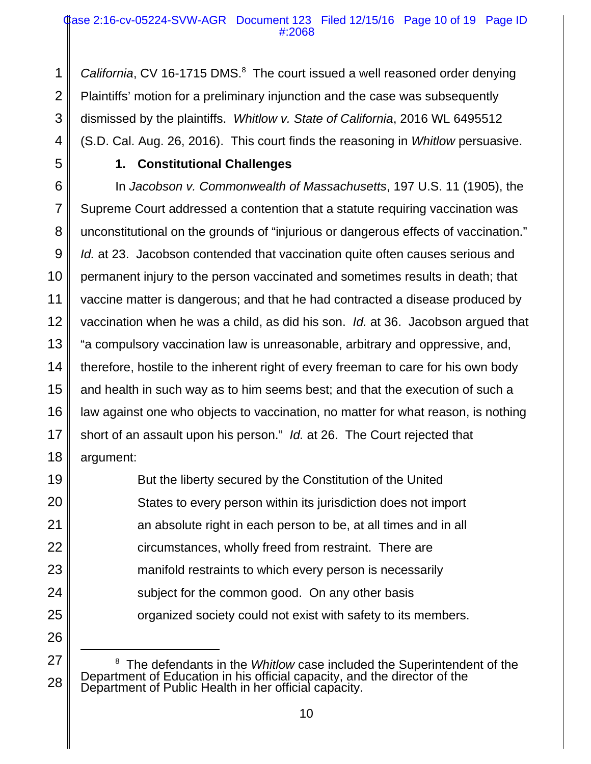California, CV 16-1715 DMS.<sup>8</sup> The court issued a well reasoned order denying Plaintiffs' motion for a preliminary injunction and the case was subsequently dismissed by the plaintiffs. *Whitlow v. State of California*, 2016 WL 6495512 (S.D. Cal. Aug. 26, 2016). This court finds the reasoning in *Whitlow* persuasive.

1

2

3

4

5

## **1. Constitutional Challenges**

6 7 8 9 10 11 12 13 14 15 16 17 18 In *Jacobson v. Commonwealth of Massachusetts*, 197 U.S. 11 (1905), the Supreme Court addressed a contention that a statute requiring vaccination was unconstitutional on the grounds of "injurious or dangerous effects of vaccination." *Id.* at 23. Jacobson contended that vaccination quite often causes serious and permanent injury to the person vaccinated and sometimes results in death; that vaccine matter is dangerous; and that he had contracted a disease produced by vaccination when he was a child, as did his son. *Id.* at 36. Jacobson argued that "a compulsory vaccination law is unreasonable, arbitrary and oppressive, and, therefore, hostile to the inherent right of every freeman to care for his own body and health in such way as to him seems best; and that the execution of such a law against one who objects to vaccination, no matter for what reason, is nothing short of an assault upon his person." *Id.* at 26. The Court rejected that argument:

But the liberty secured by the Constitution of the United States to every person within its jurisdiction does not import an absolute right in each person to be, at all times and in all circumstances, wholly freed from restraint. There are manifold restraints to which every person is necessarily subject for the common good. On any other basis organized society could not exist with safety to its members.

<sup>&</sup>lt;sup>8</sup> The defendants in the *Whitlow* case included the Superintendent of the Department of Education in his official capacity, and the director of the Department of Public Health in her official capacity.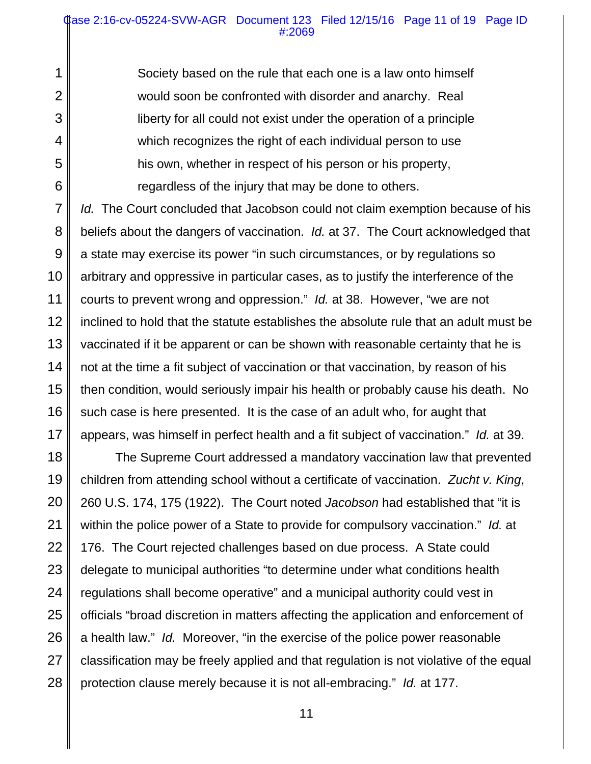Society based on the rule that each one is a law onto himself would soon be confronted with disorder and anarchy. Real liberty for all could not exist under the operation of a principle which recognizes the right of each individual person to use his own, whether in respect of his person or his property, regardless of the injury that may be done to others.

1

2

3

4

5

6

7 8 9 10 11 12 13 14 15 16 17 *Id.* The Court concluded that Jacobson could not claim exemption because of his beliefs about the dangers of vaccination. *Id.* at 37. The Court acknowledged that a state may exercise its power "in such circumstances, or by regulations so arbitrary and oppressive in particular cases, as to justify the interference of the courts to prevent wrong and oppression." *Id.* at 38. However, "we are not inclined to hold that the statute establishes the absolute rule that an adult must be vaccinated if it be apparent or can be shown with reasonable certainty that he is not at the time a fit subject of vaccination or that vaccination, by reason of his then condition, would seriously impair his health or probably cause his death. No such case is here presented. It is the case of an adult who, for aught that appears, was himself in perfect health and a fit subject of vaccination." *Id.* at 39.

18 19 20 21 22 23 24 25 26 27 28 The Supreme Court addressed a mandatory vaccination law that prevented children from attending school without a certificate of vaccination. *Zucht v. King*, 260 U.S. 174, 175 (1922). The Court noted *Jacobson* had established that "it is within the police power of a State to provide for compulsory vaccination." *Id.* at 176. The Court rejected challenges based on due process. A State could delegate to municipal authorities "to determine under what conditions health regulations shall become operative" and a municipal authority could vest in officials "broad discretion in matters affecting the application and enforcement of a health law." *Id.* Moreover, "in the exercise of the police power reasonable classification may be freely applied and that regulation is not violative of the equal protection clause merely because it is not all-embracing." *Id.* at 177.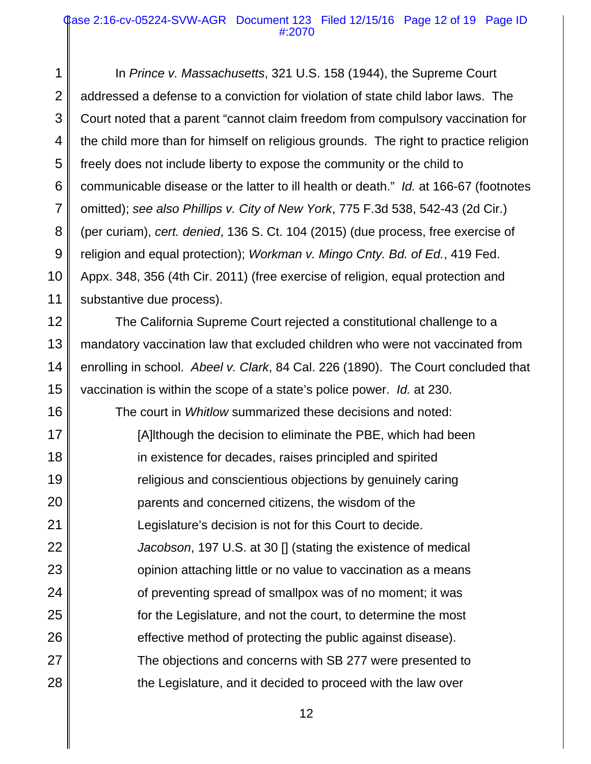### Case 2:16-cv-05224-SVW-AGR Document 123 Filed 12/15/16 Page 12 of 19 Page ID #:2070

1 2 3 4 5 6 7 8 9 10 11 In *Prince v. Massachusetts*, 321 U.S. 158 (1944), the Supreme Court addressed a defense to a conviction for violation of state child labor laws. The Court noted that a parent "cannot claim freedom from compulsory vaccination for the child more than for himself on religious grounds. The right to practice religion freely does not include liberty to expose the community or the child to communicable disease or the latter to ill health or death." *Id.* at 166-67 (footnotes omitted); *see also Phillips v. City of New York*, 775 F.3d 538, 542-43 (2d Cir.) (per curiam), *cert. denied*, 136 S. Ct. 104 (2015) (due process, free exercise of religion and equal protection); *Workman v. Mingo Cnty. Bd. of Ed.*, 419 Fed. Appx. 348, 356 (4th Cir. 2011) (free exercise of religion, equal protection and substantive due process).

12 13 14 15 The California Supreme Court rejected a constitutional challenge to a mandatory vaccination law that excluded children who were not vaccinated from enrolling in school. *Abeel v. Clark*, 84 Cal. 226 (1890). The Court concluded that vaccination is within the scope of a state's police power. *Id.* at 230.

16 17 18 19 20 21 22 23 24 25 26 27 28 The court in *Whitlow* summarized these decisions and noted: [A]lthough the decision to eliminate the PBE, which had been in existence for decades, raises principled and spirited religious and conscientious objections by genuinely caring parents and concerned citizens, the wisdom of the Legislature's decision is not for this Court to decide. *Jacobson*, 197 U.S. at 30 [] (stating the existence of medical opinion attaching little or no value to vaccination as a means of preventing spread of smallpox was of no moment; it was for the Legislature, and not the court, to determine the most effective method of protecting the public against disease). The objections and concerns with SB 277 were presented to the Legislature, and it decided to proceed with the law over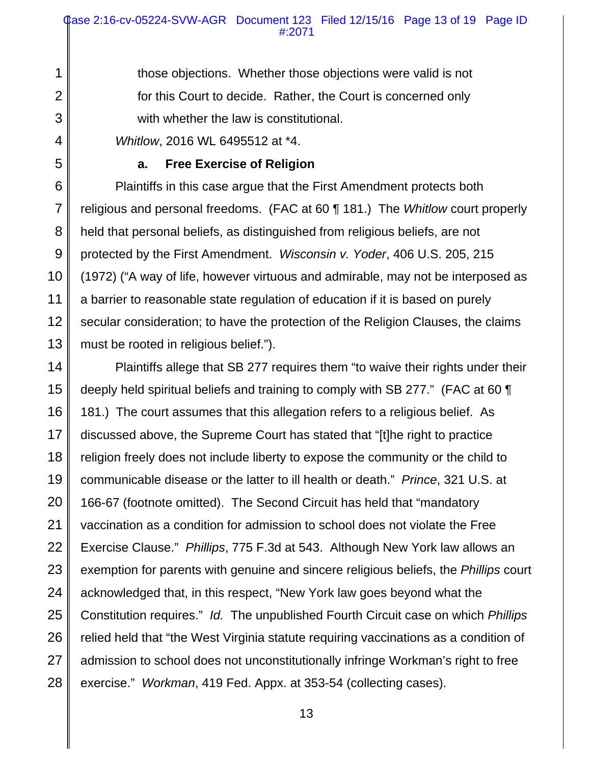those objections. Whether those objections were valid is not for this Court to decide. Rather, the Court is concerned only with whether the law is constitutional.

*Whitlow*, 2016 WL 6495512 at \*4.

1

2

3

4

5

## **a. Free Exercise of Religion**

6 7 8 9 10 11 12 13 Plaintiffs in this case argue that the First Amendment protects both religious and personal freedoms. (FAC at 60 ¶ 181.) The *Whitlow* court properly held that personal beliefs, as distinguished from religious beliefs, are not protected by the First Amendment. *Wisconsin v. Yoder*, 406 U.S. 205, 215 (1972) ("A way of life, however virtuous and admirable, may not be interposed as a barrier to reasonable state regulation of education if it is based on purely secular consideration; to have the protection of the Religion Clauses, the claims must be rooted in religious belief.").

14 15 16 17 18 19 20 21 22 23 24 25 26 27 28 Plaintiffs allege that SB 277 requires them "to waive their rights under their deeply held spiritual beliefs and training to comply with SB 277." (FAC at 60 ¶ 181.) The court assumes that this allegation refers to a religious belief. As discussed above, the Supreme Court has stated that "[t]he right to practice religion freely does not include liberty to expose the community or the child to communicable disease or the latter to ill health or death." *Prince*, 321 U.S. at 166-67 (footnote omitted). The Second Circuit has held that "mandatory vaccination as a condition for admission to school does not violate the Free Exercise Clause." *Phillips*, 775 F.3d at 543. Although New York law allows an exemption for parents with genuine and sincere religious beliefs, the *Phillips* court acknowledged that, in this respect, "New York law goes beyond what the Constitution requires." *Id.* The unpublished Fourth Circuit case on which *Phillips* relied held that "the West Virginia statute requiring vaccinations as a condition of admission to school does not unconstitutionally infringe Workman's right to free exercise." *Workman*, 419 Fed. Appx. at 353-54 (collecting cases).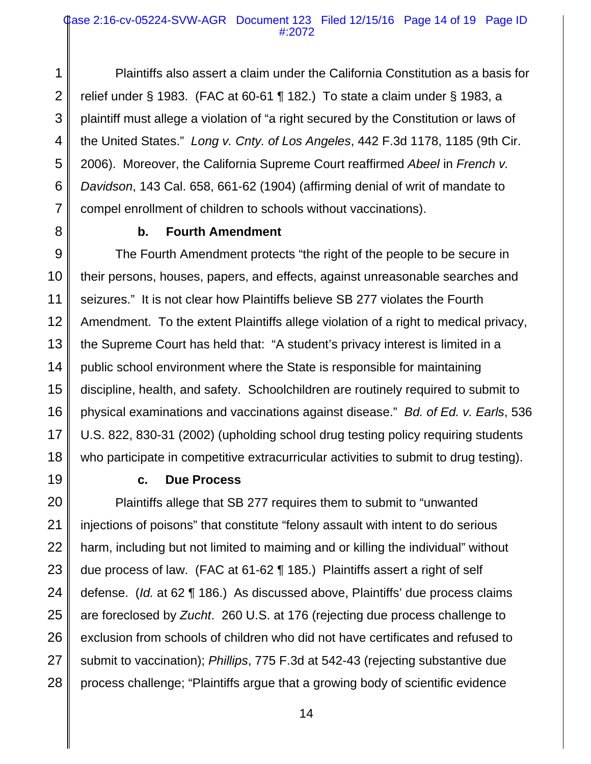### Case 2:16-cv-05224-SVW-AGR Document 123 Filed 12/15/16 Page 14 of 19 Page ID #:2072

1 2 3 4 5 6 7 Plaintiffs also assert a claim under the California Constitution as a basis for relief under § 1983. (FAC at 60-61 ¶ 182.) To state a claim under § 1983, a plaintiff must allege a violation of "a right secured by the Constitution or laws of the United States." *Long v. Cnty. of Los Angeles*, 442 F.3d 1178, 1185 (9th Cir. 2006). Moreover, the California Supreme Court reaffirmed *Abeel* in *French v. Davidson*, 143 Cal. 658, 661-62 (1904) (affirming denial of writ of mandate to compel enrollment of children to schools without vaccinations).

8

### **b. Fourth Amendment**

9 10 11 12 13 14 15 16 17 18 The Fourth Amendment protects "the right of the people to be secure in their persons, houses, papers, and effects, against unreasonable searches and seizures." It is not clear how Plaintiffs believe SB 277 violates the Fourth Amendment. To the extent Plaintiffs allege violation of a right to medical privacy, the Supreme Court has held that: "A student's privacy interest is limited in a public school environment where the State is responsible for maintaining discipline, health, and safety. Schoolchildren are routinely required to submit to physical examinations and vaccinations against disease." *Bd. of Ed. v. Earls*, 536 U.S. 822, 830-31 (2002) (upholding school drug testing policy requiring students who participate in competitive extracurricular activities to submit to drug testing).

19

## **c. Due Process**

20 21 22 23 24 25 26 27 28 Plaintiffs allege that SB 277 requires them to submit to "unwanted injections of poisons" that constitute "felony assault with intent to do serious harm, including but not limited to maiming and or killing the individual" without due process of law. (FAC at 61-62 ¶ 185.) Plaintiffs assert a right of self defense. (*Id.* at 62 ¶ 186.) As discussed above, Plaintiffs' due process claims are foreclosed by *Zucht*. 260 U.S. at 176 (rejecting due process challenge to exclusion from schools of children who did not have certificates and refused to submit to vaccination); *Phillips*, 775 F.3d at 542-43 (rejecting substantive due process challenge; "Plaintiffs argue that a growing body of scientific evidence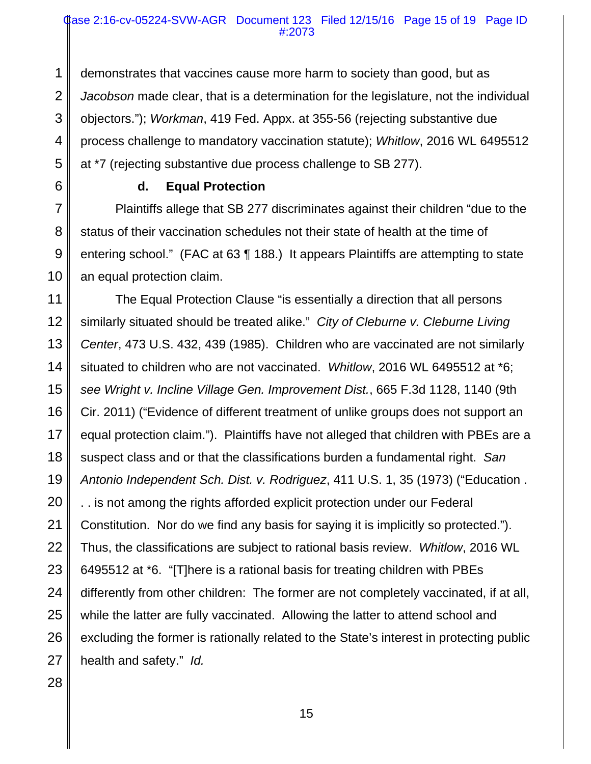### Case 2:16-cv-05224-SVW-AGR Document 123 Filed 12/15/16 Page 15 of 19 Page ID #:2073

1 2 3 4 5 demonstrates that vaccines cause more harm to society than good, but as *Jacobson* made clear, that is a determination for the legislature, not the individual objectors."); *Workman*, 419 Fed. Appx. at 355-56 (rejecting substantive due process challenge to mandatory vaccination statute); *Whitlow*, 2016 WL 6495512 at \*7 (rejecting substantive due process challenge to SB 277).

6

7

8

9

10

## **d. Equal Protection**

Plaintiffs allege that SB 277 discriminates against their children "due to the status of their vaccination schedules not their state of health at the time of entering school." (FAC at 63 ¶ 188.) It appears Plaintiffs are attempting to state an equal protection claim.

11 12 13 14 15 16 17 18 19 20 21 22 23 24 25 26 27 The Equal Protection Clause "is essentially a direction that all persons similarly situated should be treated alike." *City of Cleburne v. Cleburne Living Center*, 473 U.S. 432, 439 (1985). Children who are vaccinated are not similarly situated to children who are not vaccinated. *Whitlow*, 2016 WL 6495512 at \*6; *see Wright v. Incline Village Gen. Improvement Dist.*, 665 F.3d 1128, 1140 (9th Cir. 2011) ("Evidence of different treatment of unlike groups does not support an equal protection claim."). Plaintiffs have not alleged that children with PBEs are a suspect class and or that the classifications burden a fundamental right. *San Antonio Independent Sch. Dist. v. Rodriguez*, 411 U.S. 1, 35 (1973) ("Education . . . is not among the rights afforded explicit protection under our Federal Constitution. Nor do we find any basis for saying it is implicitly so protected."). Thus, the classifications are subject to rational basis review. *Whitlow*, 2016 WL 6495512 at \*6. "[T]here is a rational basis for treating children with PBEs differently from other children: The former are not completely vaccinated, if at all, while the latter are fully vaccinated. Allowing the latter to attend school and excluding the former is rationally related to the State's interest in protecting public health and safety." *Id.*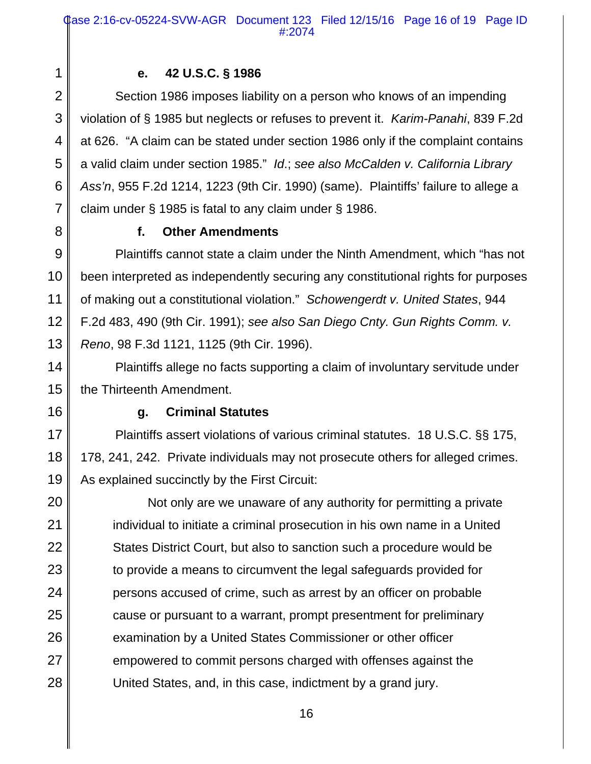### **e. 42 U.S.C. § 1986**

Section 1986 imposes liability on a person who knows of an impending violation of § 1985 but neglects or refuses to prevent it. *Karim-Panahi*, 839 F.2d at 626. "A claim can be stated under section 1986 only if the complaint contains a valid claim under section 1985." *Id*.; *see also McCalden v. California Library Ass'n*, 955 F.2d 1214, 1223 (9th Cir. 1990) (same). Plaintiffs' failure to allege a claim under § 1985 is fatal to any claim under § 1986.

1

2

3

4

5

6

7

8

## **f. Other Amendments**

9 10 11 12 13 Plaintiffs cannot state a claim under the Ninth Amendment, which "has not been interpreted as independently securing any constitutional rights for purposes of making out a constitutional violation." *Schowengerdt v. United States*, 944 F.2d 483, 490 (9th Cir. 1991); *see also San Diego Cnty. Gun Rights Comm. v. Reno*, 98 F.3d 1121, 1125 (9th Cir. 1996).

14 15 Plaintiffs allege no facts supporting a claim of involuntary servitude under the Thirteenth Amendment.

16

19

## **g. Criminal Statutes**

17 18 Plaintiffs assert violations of various criminal statutes. 18 U.S.C. §§ 175, 178, 241, 242. Private individuals may not prosecute others for alleged crimes. As explained succinctly by the First Circuit:

20 21 22 23 24 25 26 27 28 Not only are we unaware of any authority for permitting a private individual to initiate a criminal prosecution in his own name in a United States District Court, but also to sanction such a procedure would be to provide a means to circumvent the legal safeguards provided for persons accused of crime, such as arrest by an officer on probable cause or pursuant to a warrant, prompt presentment for preliminary examination by a United States Commissioner or other officer empowered to commit persons charged with offenses against the United States, and, in this case, indictment by a grand jury.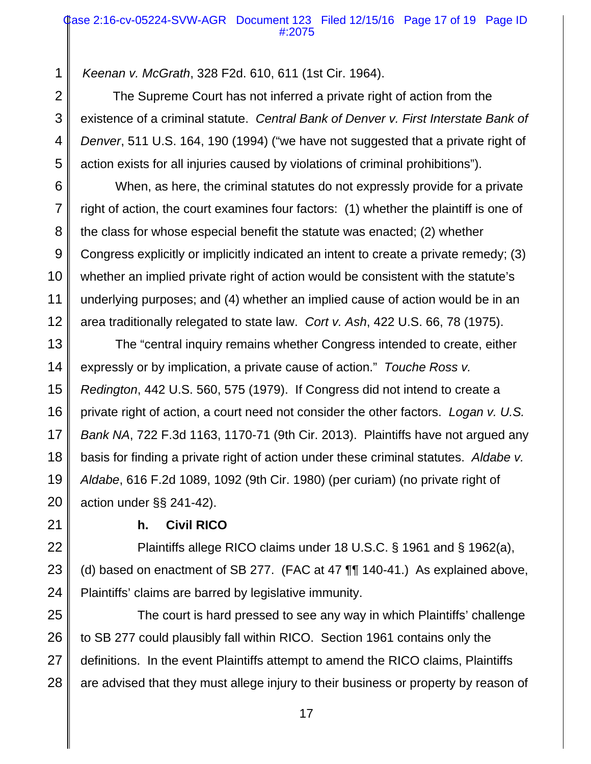*Keenan v. McGrath*, 328 F2d. 610, 611 (1st Cir. 1964).

The Supreme Court has not inferred a private right of action from the existence of a criminal statute. *Central Bank of Denver v. First Interstate Bank of Denver*, 511 U.S. 164, 190 (1994) ("we have not suggested that a private right of action exists for all injuries caused by violations of criminal prohibitions").

When, as here, the criminal statutes do not expressly provide for a private right of action, the court examines four factors: (1) whether the plaintiff is one of the class for whose especial benefit the statute was enacted; (2) whether Congress explicitly or implicitly indicated an intent to create a private remedy; (3) whether an implied private right of action would be consistent with the statute's underlying purposes; and (4) whether an implied cause of action would be in an area traditionally relegated to state law. *Cort v. Ash*, 422 U.S. 66, 78 (1975).

The "central inquiry remains whether Congress intended to create, either expressly or by implication, a private cause of action." *Touche Ross v. Redington*, 442 U.S. 560, 575 (1979). If Congress did not intend to create a private right of action, a court need not consider the other factors. *Logan v. U.S. Bank NA*, 722 F.3d 1163, 1170-71 (9th Cir. 2013). Plaintiffs have not argued any basis for finding a private right of action under these criminal statutes. *Aldabe v. Aldabe*, 616 F.2d 1089, 1092 (9th Cir. 1980) (per curiam) (no private right of action under §§ 241-42).

**h. Civil RICO**

Plaintiffs allege RICO claims under 18 U.S.C. § 1961 and § 1962(a), (d) based on enactment of SB 277. (FAC at 47 ¶¶ 140-41.) As explained above, Plaintiffs' claims are barred by legislative immunity.

The court is hard pressed to see any way in which Plaintiffs' challenge to SB 277 could plausibly fall within RICO. Section 1961 contains only the definitions. In the event Plaintiffs attempt to amend the RICO claims, Plaintiffs are advised that they must allege injury to their business or property by reason of

28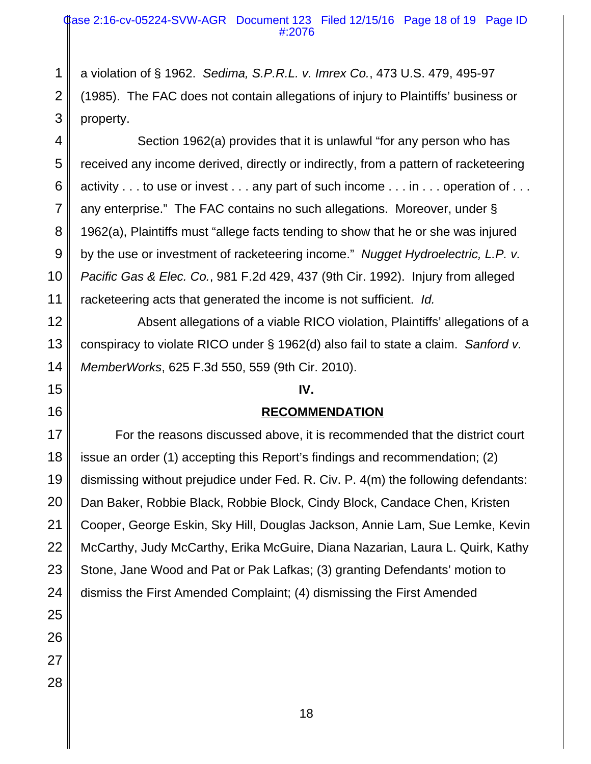2 a violation of § 1962. *Sedima, S.P.R.L. v. Imrex Co.*, 473 U.S. 479, 495-97 (1985). The FAC does not contain allegations of injury to Plaintiffs' business or property.

Section 1962(a) provides that it is unlawful "for any person who has received any income derived, directly or indirectly, from a pattern of racketeering activity . . . to use or invest . . . any part of such income . . . in . . . operation of . . . any enterprise." The FAC contains no such allegations. Moreover, under § 1962(a), Plaintiffs must "allege facts tending to show that he or she was injured by the use or investment of racketeering income." *Nugget Hydroelectric, L.P. v. Pacific Gas & Elec. Co.*, 981 F.2d 429, 437 (9th Cir. 1992). Injury from alleged racketeering acts that generated the income is not sufficient. *Id.*

Absent allegations of a viable RICO violation, Plaintiffs' allegations of a conspiracy to violate RICO under § 1962(d) also fail to state a claim. *Sanford v. MemberWorks*, 625 F.3d 550, 559 (9th Cir. 2010).

### **IV.**

### **RECOMMENDATION**

For the reasons discussed above, it is recommended that the district court issue an order (1) accepting this Report's findings and recommendation; (2) dismissing without prejudice under Fed. R. Civ. P. 4(m) the following defendants: Dan Baker, Robbie Black, Robbie Block, Cindy Block, Candace Chen, Kristen Cooper, George Eskin, Sky Hill, Douglas Jackson, Annie Lam, Sue Lemke, Kevin McCarthy, Judy McCarthy, Erika McGuire, Diana Nazarian, Laura L. Quirk, Kathy Stone, Jane Wood and Pat or Pak Lafkas; (3) granting Defendants' motion to dismiss the First Amended Complaint; (4) dismissing the First Amended